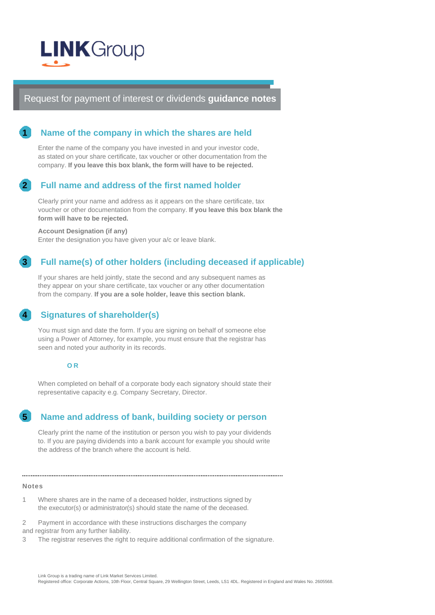

Request for payment of interest or dividends **guidance notes**

## **1 Name of the company in which the shares are held**

Enter the name of the company you have invested in and your investor code, as stated on your share certificate, tax voucher or other documentation from the company. **If you leave this box blank, the form will have to be rejected.**

### **2 Full name and address of the first named holder**

Clearly print your name and address as it appears on the share certificate, tax voucher or other documentation from the company. **If you leave this box blank the form will have to be rejected.**

#### **Account Designation (if any)**

Enter the designation you have given your a/c or leave blank.

## **3 Full name(s) of other holders (including deceased if applicable)**

If your shares are held jointly, state the second and any subsequent names as they appear on your share certificate, tax voucher or any other documentation from the company. **If you are a sole holder, leave this section blank.**

## **4 Signatures of shareholder(s)**

You must sign and date the form. If you are signing on behalf of someone else using a Power of Attorney, for example, you must ensure that the registrar has seen and noted your authority in its records.

#### **O R**

When completed on behalf of a corporate body each signatory should state their representative capacity e.g. Company Secretary, Director.

## **5 Name and address of bank, building society or person**

Clearly print the name of the institution or person you wish to pay your dividends to. If you are paying dividends into a bank account for example you should write the address of the branch where the account is held.

#### **Notes**

1 Where shares are in the name of a deceased holder, instructions signed by the executor(s) or administrator(s) should state the name of the deceased.

2 Payment in accordance with these instructions discharges the company and registrar from any further liability.

3 The registrar reserves the right to require additional confirmation of the signature.